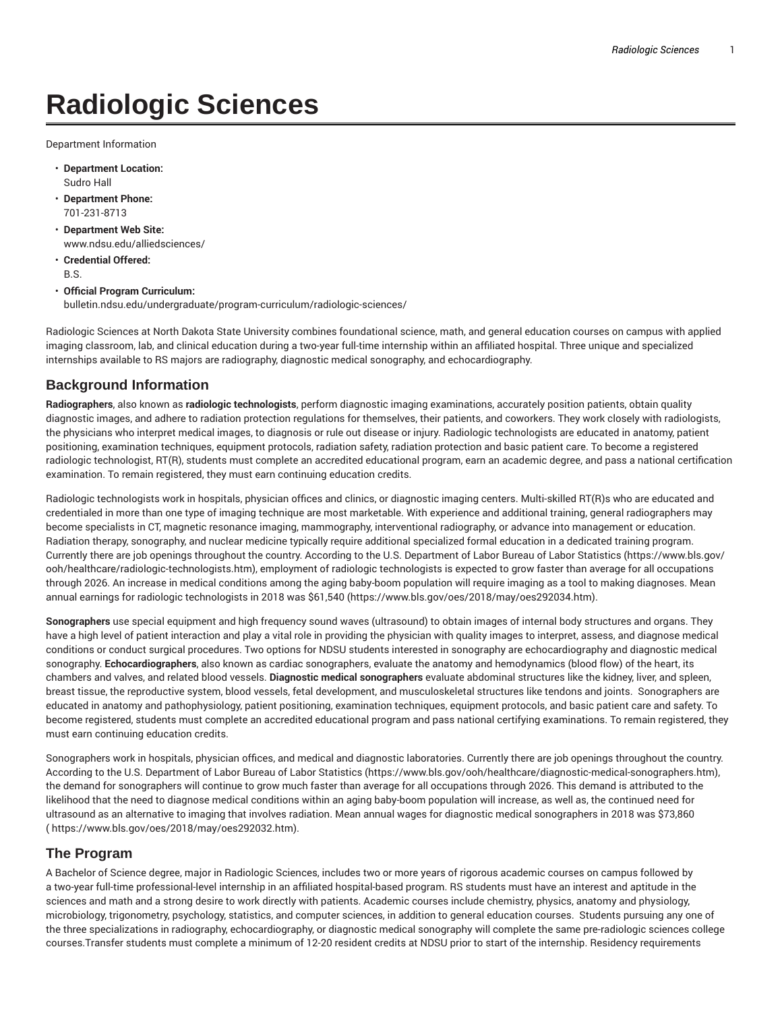# **Radiologic Sciences**

Department Information

- **Department Location:** Sudro Hall
- **Department Phone:** 701-231-8713
- **Department Web Site:** www.ndsu.edu/alliedsciences/
- **Credential Offered:** B.S.
- **Official Program Curriculum:** bulletin.ndsu.edu/undergraduate/program-curriculum/radiologic-sciences/

Radiologic Sciences at North Dakota State University combines foundational science, math, and general education courses on campus with applied imaging classroom, lab, and clinical education during a two-year full-time internship within an affiliated hospital. Three unique and specialized internships available to RS majors are radiography, diagnostic medical sonography, and echocardiography.

### **Background Information**

**Radiographers**, also known as **radiologic technologists**, perform diagnostic imaging examinations, accurately position patients, obtain quality diagnostic images, and adhere to radiation protection regulations for themselves, their patients, and coworkers. They work closely with radiologists, the physicians who interpret medical images, to diagnosis or rule out disease or injury. Radiologic technologists are educated in anatomy, patient positioning, examination techniques, equipment protocols, radiation safety, radiation protection and basic patient care. To become a registered radiologic technologist, RT(R), students must complete an accredited educational program, earn an academic degree, and pass a national certification examination. To remain registered, they must earn continuing education credits.

Radiologic technologists work in hospitals, physician offices and clinics, or diagnostic imaging centers. Multi-skilled RT(R)s who are educated and credentialed in more than one type of imaging technique are most marketable. With experience and additional training, general radiographers may become specialists in CT, magnetic resonance imaging, mammography, interventional radiography, or advance into management or education. Radiation therapy, sonography, and nuclear medicine typically require additional specialized formal education in a dedicated training program. Currently there are job openings throughout the country. According to the U.S. Department of Labor Bureau of Labor Statistics (https://www.bls.gov/ ooh/healthcare/radiologic-technologists.htm), employment of radiologic technologists is expected to grow faster than average for all occupations through 2026. An increase in medical conditions among the aging baby-boom population will require imaging as a tool to making diagnoses. Mean annual earnings for radiologic technologists in 2018 was \$61,540 (https://www.bls.gov/oes/2018/may/oes292034.htm).

**Sonographers** use special equipment and high frequency sound waves (ultrasound) to obtain images of internal body structures and organs. They have a high level of patient interaction and play a vital role in providing the physician with quality images to interpret, assess, and diagnose medical conditions or conduct surgical procedures. Two options for NDSU students interested in sonography are echocardiography and diagnostic medical sonography. **Echocardiographers**, also known as cardiac sonographers, evaluate the anatomy and hemodynamics (blood flow) of the heart, its chambers and valves, and related blood vessels. **Diagnostic medical sonographers** evaluate abdominal structures like the kidney, liver, and spleen, breast tissue, the reproductive system, blood vessels, fetal development, and musculoskeletal structures like tendons and joints. Sonographers are educated in anatomy and pathophysiology, patient positioning, examination techniques, equipment protocols, and basic patient care and safety. To become registered, students must complete an accredited educational program and pass national certifying examinations. To remain registered, they must earn continuing education credits.

Sonographers work in hospitals, physician offices, and medical and diagnostic laboratories. Currently there are job openings throughout the country. According to the U.S. Department of Labor Bureau of Labor Statistics (https://www.bls.gov/ooh/healthcare/diagnostic-medical-sonographers.htm), the demand for sonographers will continue to grow much faster than average for all occupations through 2026. This demand is attributed to the likelihood that the need to diagnose medical conditions within an aging baby-boom population will increase, as well as, the continued need for ultrasound as an alternative to imaging that involves radiation. Mean annual wages for diagnostic medical sonographers in 2018 was \$73,860 ( https://www.bls.gov/oes/2018/may/oes292032.htm).

#### **The Program**

A Bachelor of Science degree, major in Radiologic Sciences, includes two or more years of rigorous academic courses on campus followed by a two-year full-time professional-level internship in an affiliated hospital-based program. RS students must have an interest and aptitude in the sciences and math and a strong desire to work directly with patients. Academic courses include chemistry, physics, anatomy and physiology, microbiology, trigonometry, psychology, statistics, and computer sciences, in addition to general education courses. Students pursuing any one of the three specializations in radiography, echocardiography, or diagnostic medical sonography will complete the same pre-radiologic sciences college courses.Transfer students must complete a minimum of 12-20 resident credits at NDSU prior to start of the internship. Residency requirements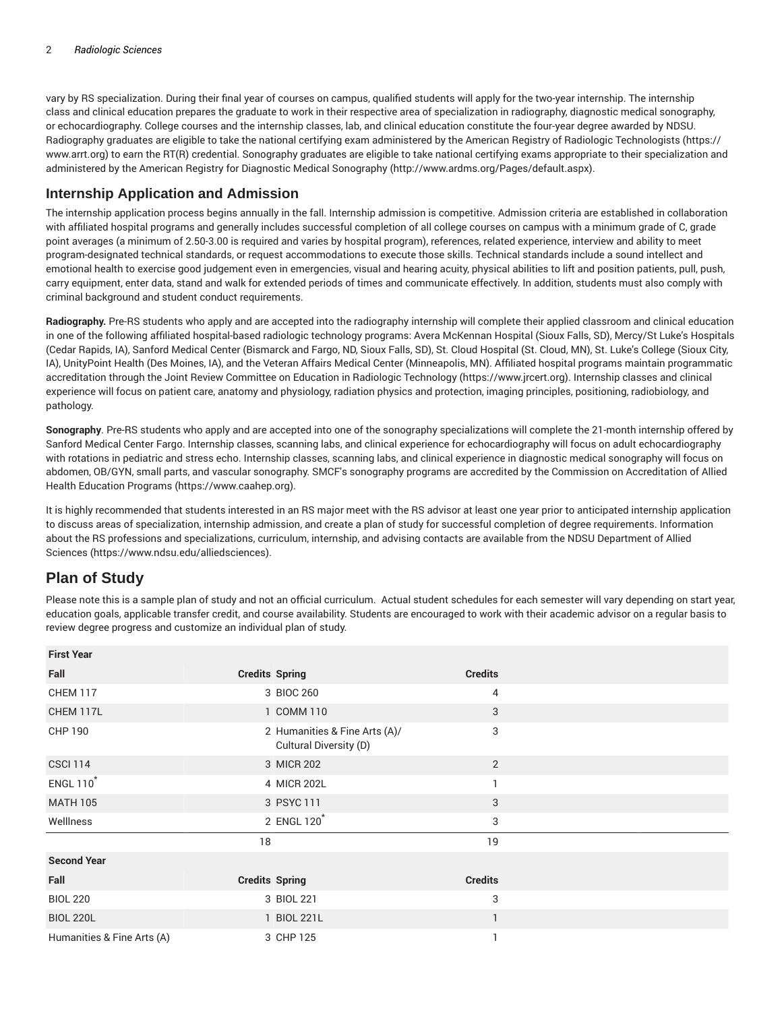vary by RS specialization. During their final year of courses on campus, qualified students will apply for the two-year internship. The internship class and clinical education prepares the graduate to work in their respective area of specialization in radiography, diagnostic medical sonography, or echocardiography. College courses and the internship classes, lab, and clinical education constitute the four-year degree awarded by NDSU. Radiography graduates are eligible to take the national certifying exam administered by the American Registry of Radiologic Technologists (https:// www.arrt.org) to earn the RT(R) credential. Sonography graduates are eligible to take national certifying exams appropriate to their specialization and administered by the American Registry for Diagnostic Medical Sonography (http://www.ardms.org/Pages/default.aspx).

#### **Internship Application and Admission**

The internship application process begins annually in the fall. Internship admission is competitive. Admission criteria are established in collaboration with affiliated hospital programs and generally includes successful completion of all college courses on campus with a minimum grade of C, grade point averages (a minimum of 2.50-3.00 is required and varies by hospital program), references, related experience, interview and ability to meet program-designated technical standards, or request accommodations to execute those skills. Technical standards include a sound intellect and emotional health to exercise good judgement even in emergencies, visual and hearing acuity, physical abilities to lift and position patients, pull, push, carry equipment, enter data, stand and walk for extended periods of times and communicate effectively. In addition, students must also comply with criminal background and student conduct requirements.

**Radiography.** Pre-RS students who apply and are accepted into the radiography internship will complete their applied classroom and clinical education in one of the following affiliated hospital-based radiologic technology programs: Avera McKennan Hospital (Sioux Falls, SD), Mercy/St Luke's Hospitals (Cedar Rapids, IA), Sanford Medical Center (Bismarck and Fargo, ND, Sioux Falls, SD), St. Cloud Hospital (St. Cloud, MN), St. Luke's College (Sioux City, IA), UnityPoint Health (Des Moines, IA), and the Veteran Affairs Medical Center (Minneapolis, MN). Affiliated hospital programs maintain programmatic accreditation through the Joint Review Committee on Education in Radiologic Technology (https://www.jrcert.org). Internship classes and clinical experience will focus on patient care, anatomy and physiology, radiation physics and protection, imaging principles, positioning, radiobiology, and pathology.

**Sonography**. Pre-RS students who apply and are accepted into one of the sonography specializations will complete the 21-month internship offered by Sanford Medical Center Fargo. Internship classes, scanning labs, and clinical experience for echocardiography will focus on adult echocardiography with rotations in pediatric and stress echo. Internship classes, scanning labs, and clinical experience in diagnostic medical sonography will focus on abdomen, OB/GYN, small parts, and vascular sonography. SMCF's sonography programs are accredited by the Commission on Accreditation of Allied Health Education Programs (https://www.caahep.org).

It is highly recommended that students interested in an RS major meet with the RS advisor at least one year prior to anticipated internship application to discuss areas of specialization, internship admission, and create a plan of study for successful completion of degree requirements. Information about the RS professions and specializations, curriculum, internship, and advising contacts are available from the NDSU Department of Allied Sciences (https://www.ndsu.edu/alliedsciences).

## **Plan of Study**

Please note this is a sample plan of study and not an official curriculum. Actual student schedules for each semester will vary depending on start year, education goals, applicable transfer credit, and course availability. Students are encouraged to work with their academic advisor on a regular basis to review degree progress and customize an individual plan of study.

| <b>First Year</b>           |                                                         |                |  |
|-----------------------------|---------------------------------------------------------|----------------|--|
| Fall                        | <b>Credits Spring</b>                                   | <b>Credits</b> |  |
| <b>CHEM 117</b>             | 3 BIOC 260                                              | 4              |  |
| CHEM 117L                   | 1 COMM 110                                              | 3              |  |
| CHP 190                     | 2 Humanities & Fine Arts (A)/<br>Cultural Diversity (D) | 3              |  |
| <b>CSCI 114</b>             | 3 MICR 202                                              | $\overline{2}$ |  |
| <b>ENGL 110<sup>*</sup></b> | 4 MICR 202L                                             |                |  |
| <b>MATH 105</b>             | 3 PSYC 111                                              | 3              |  |
| Welllness                   | 2 ENGL 120 <sup>*</sup>                                 | 3              |  |
|                             | 18                                                      | 19             |  |
| <b>Second Year</b>          |                                                         |                |  |
| Fall                        | <b>Credits Spring</b>                                   | <b>Credits</b> |  |
| <b>BIOL 220</b>             | 3 BIOL 221                                              | 3              |  |
| <b>BIOL 220L</b>            | 1 BIOL 221L                                             |                |  |
| Humanities & Fine Arts (A)  | 3 CHP 125                                               |                |  |